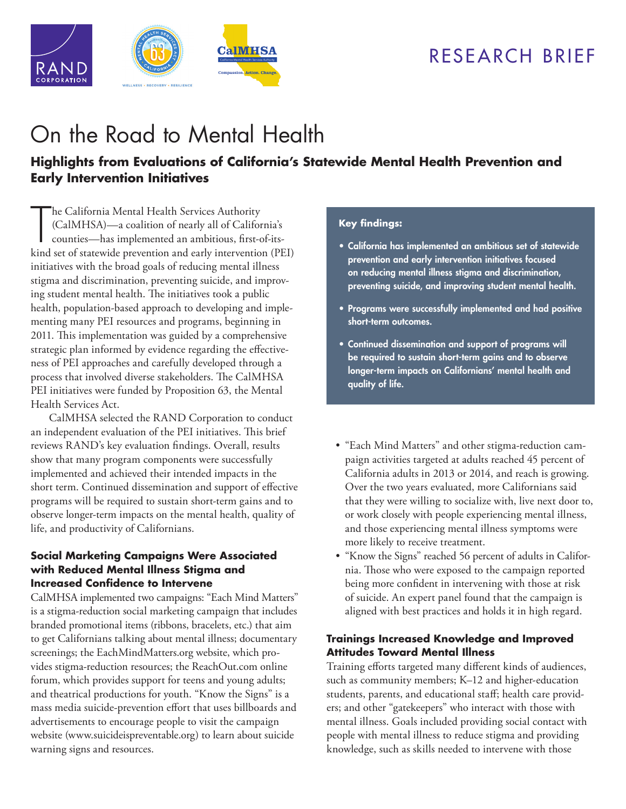## RESEARCH BRIEF



# [On the Road to Mental Health](http://www.rand.org/pubs/research_briefs/RB9917.html)

## **Highlights from Evaluations of California's Statewide Mental Health Prevention and Early Intervention Initiatives**

The California Mental Health Services Authority<br>
(CalMHSA)—a coalition of nearly all of California's<br>
counties—has implemented an ambitious, first-of-its-<br>
kind set of statewide prevention and early intervention (PEI) he California Mental Health Services Authority (CalMHSA)—a coalition of nearly all of California's counties—has implemented an ambitious, first-of-itsinitiatives with the broad goals of reducing mental illness stigma and discrimination, preventing suicide, and improving student mental health. The initiatives took a public health, population-based approach to developing and implementing many PEI resources and programs, beginning in 2011. This implementation was guided by a comprehensive strategic plan informed by evidence regarding the effectiveness of PEI approaches and carefully developed through a process that involved diverse stakeholders. The CalMHSA PEI initiatives were funded by Proposition 63, the Mental Health Services Act.

CalMHSA selected the RAND Corporation to conduct an independent evaluation of the PEI initiatives. This brief reviews RAND's key evaluation findings. Overall, results show that many program components were successfully implemented and achieved their intended impacts in the short term. Continued dissemination and support of effective programs will be required to sustain short-term gains and to observe longer-term impacts on the mental health, quality of life, and productivity of Californians.

### **Social Marketing Campaigns Were Associated with Reduced Mental Illness Stigma and Increased Confidence to Intervene**

CalMHSA implemented two campaigns: "Each Mind Matters" is a stigma-reduction social marketing campaign that includes branded promotional items (ribbons, bracelets, etc.) that aim to get Californians talking about mental illness; documentary screenings; the EachMindMatters.org website, which provides stigma-reduction resources; the [ReachOut.com](http://us.reachout.com/) online forum, which provides support for teens and young adults; and theatrical productions for youth. "Know the Signs" is a mass media suicide-prevention effort that uses billboards and advertisements to encourage people to visit the campaign website [\(www.suicideispreventable.org\)](http://www.suicideispreventable.org) to learn about suicide warning signs and resources.

#### **Key findings:**

- California has implemented an ambitious set of statewide prevention and early intervention initiatives focused on reducing mental illness stigma and discrimination, preventing suicide, and improving student mental health.
- Programs were successfully implemented and had positive short-term outcomes.
- Continued dissemination and support of programs will be required to sustain short-term gains and to observe longer-term impacts on Californians' mental health and quality of life.
- "Each Mind Matters" and other stigma-reduction campaign activities targeted at adults reached 45 percent of California adults in 2013 or 2014, and reach is growing. Over the two years evaluated, more Californians said that they were willing to socialize with, live next door to, or work closely with people experiencing mental illness, and those experiencing mental illness symptoms were more likely to receive treatment.
- "Know the Signs" reached 56 percent of adults in California. Those who were exposed to the campaign reported being more confident in intervening with those at risk of suicide. An expert panel found that the campaign is aligned with best practices and holds it in high regard.

## **Trainings Increased Knowledge and Improved Attitudes Toward Mental Illness**

Training efforts targeted many different kinds of audiences, such as community members; K–12 and higher-education students, parents, and educational staff; health care providers; and other "gatekeepers" who interact with those with mental illness. Goals included providing social contact with people with mental illness to reduce stigma and providing knowledge, such as skills needed to intervene with those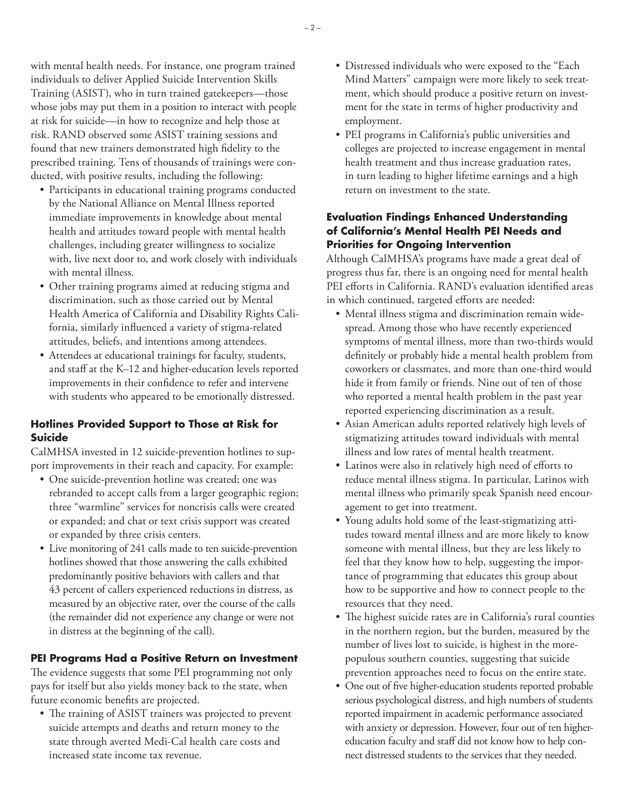with mental health needs. For instance, one program trained individuals to deliver Applied Suicide Intervention Skills Training (ASIST), who in turn trained gatekeepers—those whose jobs may put them in a position to interact with people at risk for suicide—in how to recognize and help those at risk. RAND observed some ASIST training sessions and found that new trainers demonstrated high fidelity to the prescribed training. Tens of thousands of trainings were conducted, with positive results, including the following:

- Participants in educational training programs conducted by the National Alliance on Mental Illness reported immediate improvements in knowledge about mental health and attitudes toward people with mental health challenges, including greater willingness to socialize with, live next door to, and work closely with individuals with mental illness.
- Other training programs aimed at reducing stigma and discrimination, such as those carried out by Mental Health America of California and Disability Rights California, similarly influenced a variety of stigma-related attitudes, beliefs, and intentions among attendees.
- Attendees at educational trainings for faculty, students, and staff at the K–12 and higher-education levels reported improvements in their confidence to refer and intervene with students who appeared to be emotionally distressed.

## **Hotlines Provided Support to Those at Risk for Suicide**

CalMHSA invested in 12 suicide-prevention hotlines to support improvements in their reach and capacity. For example:

- One suicide-prevention hotline was created; one was rebranded to accept calls from a larger geographic region; three "warmline" services for noncrisis calls were created or expanded; and chat or text crisis support was created or expanded by three crisis centers.
- Live monitoring of 241 calls made to ten suicide-prevention hotlines showed that those answering the calls exhibited predominantly positive behaviors with callers and that 43 percent of callers experienced reductions in distress, as measured by an objective rater, over the course of the calls (the remainder did not experience any change or were not in distress at the beginning of the call).

## **PEI Programs Had a Positive Return on Investment**

The evidence suggests that some PEI programming not only pays for itself but also yields money back to the state, when future economic benefits are projected.

• The training of ASIST trainers was projected to prevent suicide attempts and deaths and return money to the state through averted Medi-Cal health care costs and increased state income tax revenue.

- Distressed individuals who were exposed to the "Each Mind Matters" campaign were more likely to seek treatment, which should produce a positive return on investment for the state in terms of higher productivity and employment.
- PEI programs in California's public universities and colleges are projected to increase engagement in mental health treatment and thus increase graduation rates, in turn leading to higher lifetime earnings and a high return on investment to the state.

## **Evaluation Findings Enhanced Understanding of California's Mental Health PEI Needs and Priorities for Ongoing Intervention**

Although CalMHSA's programs have made a great deal of progress thus far, there is an ongoing need for mental health PEI efforts in California. RAND's evaluation identified areas in which continued, targeted efforts are needed:

- Mental illness stigma and discrimination remain widespread. Among those who have recently experienced symptoms of mental illness, more than two-thirds would definitely or probably hide a mental health problem from coworkers or classmates, and more than one-third would hide it from family or friends. Nine out of ten of those who reported a mental health problem in the past year reported experiencing discrimination as a result.
- Asian American adults reported relatively high levels of stigmatizing attitudes toward individuals with mental illness and low rates of mental health treatment.
- Latinos were also in relatively high need of efforts to reduce mental illness stigma. In particular, Latinos with mental illness who primarily speak Spanish need encouragement to get into treatment.
- Young adults hold some of the least-stigmatizing attitudes toward mental illness and are more likely to know someone with mental illness, but they are less likely to feel that they know how to help, suggesting the importance of programming that educates this group about how to be supportive and how to connect people to the resources that they need.
- The highest suicide rates are in California's rural counties in the northern region, but the burden, measured by the number of lives lost to suicide, is highest in the morepopulous southern counties, suggesting that suicide prevention approaches need to focus on the entire state.
- One out of five higher-education students reported probable serious psychological distress, and high numbers of students reported impairment in academic performance associated with anxiety or depression. However, four out of ten highereducation faculty and staff did not know how to help connect distressed students to the services that they needed.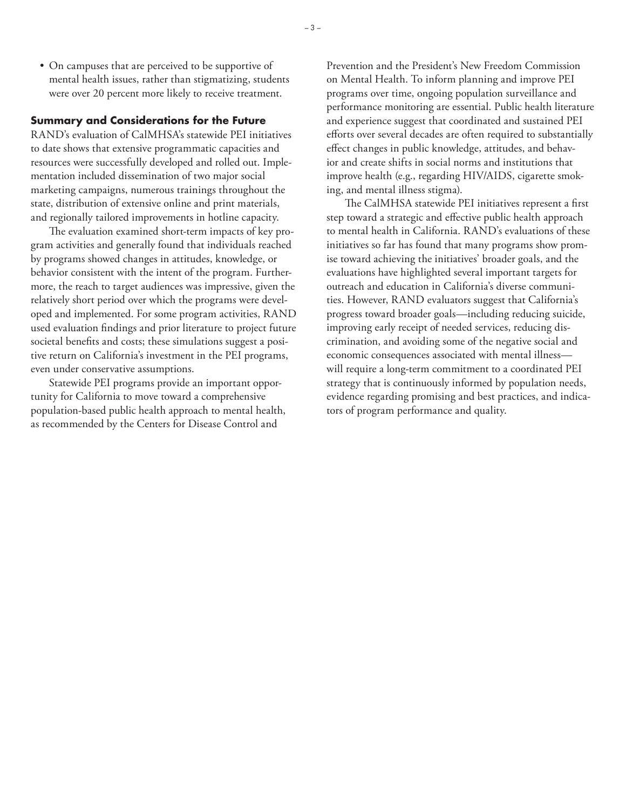• On campuses that are perceived to be supportive of mental health issues, rather than stigmatizing, students were over 20 percent more likely to receive treatment.

#### **Summary and Considerations for the Future**

RAND's evaluation of CalMHSA's statewide PEI initiatives to date shows that extensive programmatic capacities and resources were successfully developed and rolled out. Implementation included dissemination of two major social marketing campaigns, numerous trainings throughout the state, distribution of extensive online and print materials, and regionally tailored improvements in hotline capacity.

The evaluation examined short-term impacts of key program activities and generally found that individuals reached by programs showed changes in attitudes, knowledge, or behavior consistent with the intent of the program. Furthermore, the reach to target audiences was impressive, given the relatively short period over which the programs were developed and implemented. For some program activities, RAND used evaluation findings and prior literature to project future societal benefits and costs; these simulations suggest a positive return on California's investment in the PEI programs, even under conservative assumptions.

Statewide PEI programs provide an important opportunity for California to move toward a comprehensive population-based public health approach to mental health, as recommended by the Centers for Disease Control and

Prevention and the President's New Freedom Commission on Mental Health. To inform planning and improve PEI programs over time, ongoing population surveillance and performance monitoring are essential. Public health literature and experience suggest that coordinated and sustained PEI efforts over several decades are often required to substantially effect changes in public knowledge, attitudes, and behavior and create shifts in social norms and institutions that improve health (e.g., regarding HIV/AIDS, cigarette smoking, and mental illness stigma).

The CalMHSA statewide PEI initiatives represent a first step toward a strategic and effective public health approach to mental health in California. RAND's evaluations of these initiatives so far has found that many programs show promise toward achieving the initiatives' broader goals, and the evaluations have highlighted several important targets for outreach and education in California's diverse communities. However, RAND evaluators suggest that California's progress toward broader goals—including reducing suicide, improving early receipt of needed services, reducing discrimination, and avoiding some of the negative social and economic consequences associated with mental illness will require a long-term commitment to a coordinated PEI strategy that is continuously informed by population needs, evidence regarding promising and best practices, and indicators of program performance and quality.